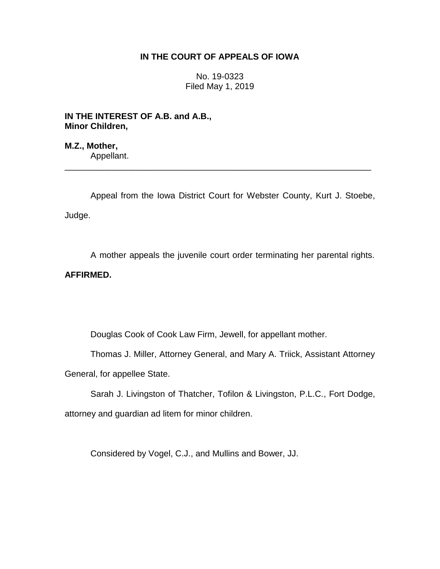# **IN THE COURT OF APPEALS OF IOWA**

No. 19-0323 Filed May 1, 2019

**IN THE INTEREST OF A.B. and A.B., Minor Children,**

**M.Z., Mother,** Appellant.

Appeal from the Iowa District Court for Webster County, Kurt J. Stoebe, Judge.

\_\_\_\_\_\_\_\_\_\_\_\_\_\_\_\_\_\_\_\_\_\_\_\_\_\_\_\_\_\_\_\_\_\_\_\_\_\_\_\_\_\_\_\_\_\_\_\_\_\_\_\_\_\_\_\_\_\_\_\_\_\_\_\_

A mother appeals the juvenile court order terminating her parental rights. **AFFIRMED.**

Douglas Cook of Cook Law Firm, Jewell, for appellant mother.

Thomas J. Miller, Attorney General, and Mary A. Triick, Assistant Attorney General, for appellee State.

Sarah J. Livingston of Thatcher, Tofilon & Livingston, P.L.C., Fort Dodge, attorney and guardian ad litem for minor children.

Considered by Vogel, C.J., and Mullins and Bower, JJ.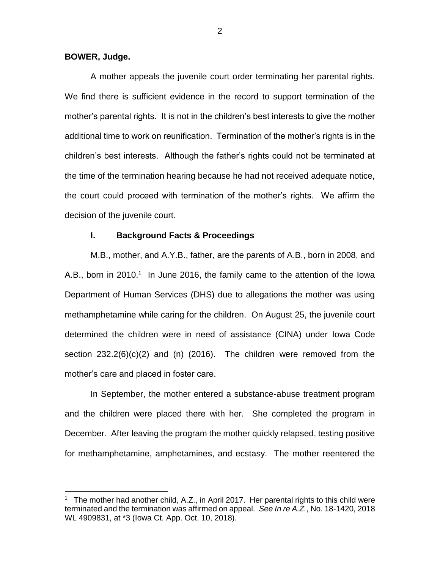## **BOWER, Judge.**

 $\overline{a}$ 

A mother appeals the juvenile court order terminating her parental rights. We find there is sufficient evidence in the record to support termination of the mother's parental rights. It is not in the children's best interests to give the mother additional time to work on reunification. Termination of the mother's rights is in the children's best interests. Although the father's rights could not be terminated at the time of the termination hearing because he had not received adequate notice, the court could proceed with termination of the mother's rights. We affirm the decision of the juvenile court.

# **I. Background Facts & Proceedings**

M.B., mother, and A.Y.B., father, are the parents of A.B., born in 2008, and A.B., born in 2010.<sup>1</sup> In June 2016, the family came to the attention of the lowa Department of Human Services (DHS) due to allegations the mother was using methamphetamine while caring for the children. On August 25, the juvenile court determined the children were in need of assistance (CINA) under Iowa Code section  $232.2(6)(c)(2)$  and (n) (2016). The children were removed from the mother's care and placed in foster care.

In September, the mother entered a substance-abuse treatment program and the children were placed there with her. She completed the program in December. After leaving the program the mother quickly relapsed, testing positive for methamphetamine, amphetamines, and ecstasy. The mother reentered the

<sup>&</sup>lt;sup>1</sup> The mother had another child, A.Z., in April 2017. Her parental rights to this child were terminated and the termination was affirmed on appeal. *See In re A.Z.*, No. 18-1420, 2018 WL 4909831, at \*3 (Iowa Ct. App. Oct. 10, 2018).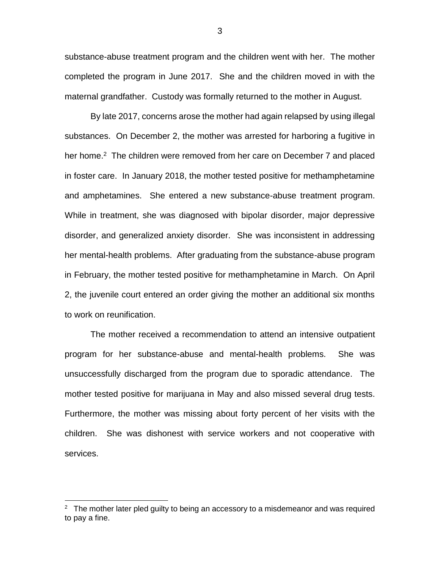substance-abuse treatment program and the children went with her. The mother completed the program in June 2017. She and the children moved in with the maternal grandfather. Custody was formally returned to the mother in August.

By late 2017, concerns arose the mother had again relapsed by using illegal substances. On December 2, the mother was arrested for harboring a fugitive in her home.<sup>2</sup> The children were removed from her care on December 7 and placed in foster care. In January 2018, the mother tested positive for methamphetamine and amphetamines. She entered a new substance-abuse treatment program. While in treatment, she was diagnosed with bipolar disorder, major depressive disorder, and generalized anxiety disorder. She was inconsistent in addressing her mental-health problems. After graduating from the substance-abuse program in February, the mother tested positive for methamphetamine in March. On April 2, the juvenile court entered an order giving the mother an additional six months to work on reunification.

The mother received a recommendation to attend an intensive outpatient program for her substance-abuse and mental-health problems. She was unsuccessfully discharged from the program due to sporadic attendance. The mother tested positive for marijuana in May and also missed several drug tests. Furthermore, the mother was missing about forty percent of her visits with the children. She was dishonest with service workers and not cooperative with services.

 $\overline{a}$ 

 $2$  The mother later pled guilty to being an accessory to a misdemeanor and was required to pay a fine.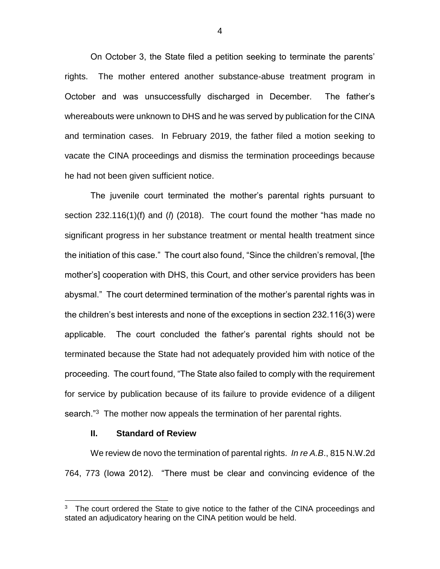On October 3, the State filed a petition seeking to terminate the parents' rights. The mother entered another substance-abuse treatment program in October and was unsuccessfully discharged in December. The father's whereabouts were unknown to DHS and he was served by publication for the CINA and termination cases. In February 2019, the father filed a motion seeking to vacate the CINA proceedings and dismiss the termination proceedings because he had not been given sufficient notice.

The juvenile court terminated the mother's parental rights pursuant to section 232.116(1)(f) and (*l*) (2018). The court found the mother "has made no significant progress in her substance treatment or mental health treatment since the initiation of this case." The court also found, "Since the children's removal, [the mother's] cooperation with DHS, this Court, and other service providers has been abysmal." The court determined termination of the mother's parental rights was in the children's best interests and none of the exceptions in section 232.116(3) were applicable. The court concluded the father's parental rights should not be terminated because the State had not adequately provided him with notice of the proceeding. The court found, "The State also failed to comply with the requirement for service by publication because of its failure to provide evidence of a diligent search.<sup>"3</sup> The mother now appeals the termination of her parental rights.

## **II. Standard of Review**

 $\overline{a}$ 

We review de novo the termination of parental rights. *In re A.B*., 815 N.W.2d 764, 773 (Iowa 2012). "There must be clear and convincing evidence of the

<sup>3</sup> The court ordered the State to give notice to the father of the CINA proceedings and stated an adjudicatory hearing on the CINA petition would be held.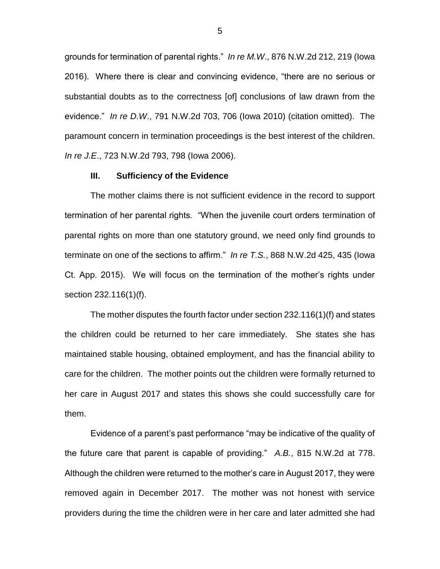grounds for termination of parental rights." *In re M.W*., 876 N.W.2d 212, 219 (Iowa 2016). Where there is clear and convincing evidence, "there are no serious or substantial doubts as to the correctness [of] conclusions of law drawn from the evidence." *In re D.W*., 791 N.W.2d 703, 706 (Iowa 2010) (citation omitted). The paramount concern in termination proceedings is the best interest of the children. *In re J.E*., 723 N.W.2d 793, 798 (Iowa 2006).

#### **III. Sufficiency of the Evidence**

The mother claims there is not sufficient evidence in the record to support termination of her parental rights. "When the juvenile court orders termination of parental rights on more than one statutory ground, we need only find grounds to terminate on one of the sections to affirm." *In re T.S.*, 868 N.W.2d 425, 435 (Iowa Ct. App. 2015). We will focus on the termination of the mother's rights under section 232.116(1)(f).

The mother disputes the fourth factor under section 232.116(1)(f) and states the children could be returned to her care immediately. She states she has maintained stable housing, obtained employment, and has the financial ability to care for the children. The mother points out the children were formally returned to her care in August 2017 and states this shows she could successfully care for them.

Evidence of a parent's past performance "may be indicative of the quality of the future care that parent is capable of providing." *A.B.*, 815 N.W.2d at 778. Although the children were returned to the mother's care in August 2017, they were removed again in December 2017. The mother was not honest with service providers during the time the children were in her care and later admitted she had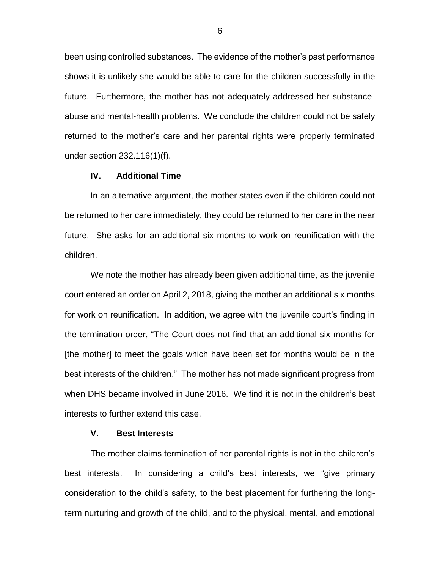been using controlled substances. The evidence of the mother's past performance shows it is unlikely she would be able to care for the children successfully in the future. Furthermore, the mother has not adequately addressed her substanceabuse and mental-health problems. We conclude the children could not be safely returned to the mother's care and her parental rights were properly terminated under section 232.116(1)(f).

## **IV. Additional Time**

In an alternative argument, the mother states even if the children could not be returned to her care immediately, they could be returned to her care in the near future. She asks for an additional six months to work on reunification with the children.

We note the mother has already been given additional time, as the juvenile court entered an order on April 2, 2018, giving the mother an additional six months for work on reunification. In addition, we agree with the juvenile court's finding in the termination order, "The Court does not find that an additional six months for [the mother] to meet the goals which have been set for months would be in the best interests of the children." The mother has not made significant progress from when DHS became involved in June 2016. We find it is not in the children's best interests to further extend this case.

# **V. Best Interests**

The mother claims termination of her parental rights is not in the children's best interests. In considering a child's best interests, we "give primary consideration to the child's safety, to the best placement for furthering the longterm nurturing and growth of the child, and to the physical, mental, and emotional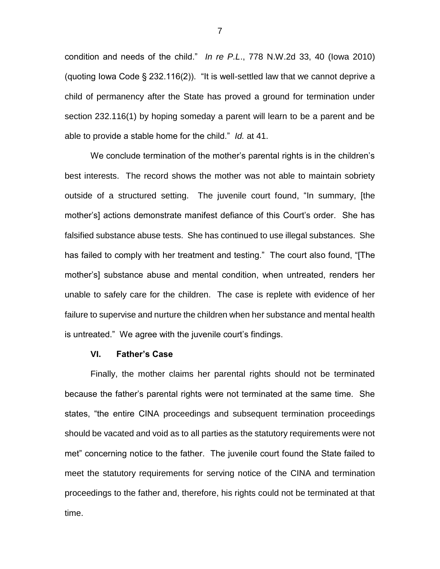condition and needs of the child." *In re P.L*., 778 N.W.2d 33, 40 (Iowa 2010) (quoting Iowa Code § 232.116(2)). "It is well-settled law that we cannot deprive a child of permanency after the State has proved a ground for termination under section 232.116(1) by hoping someday a parent will learn to be a parent and be able to provide a stable home for the child." *Id.* at 41.

We conclude termination of the mother's parental rights is in the children's best interests. The record shows the mother was not able to maintain sobriety outside of a structured setting. The juvenile court found, "In summary, [the mother's] actions demonstrate manifest defiance of this Court's order. She has falsified substance abuse tests. She has continued to use illegal substances. She has failed to comply with her treatment and testing." The court also found, "[The mother's] substance abuse and mental condition, when untreated, renders her unable to safely care for the children. The case is replete with evidence of her failure to supervise and nurture the children when her substance and mental health is untreated." We agree with the juvenile court's findings.

## **VI. Father's Case**

Finally, the mother claims her parental rights should not be terminated because the father's parental rights were not terminated at the same time. She states, "the entire CINA proceedings and subsequent termination proceedings should be vacated and void as to all parties as the statutory requirements were not met" concerning notice to the father. The juvenile court found the State failed to meet the statutory requirements for serving notice of the CINA and termination proceedings to the father and, therefore, his rights could not be terminated at that time.